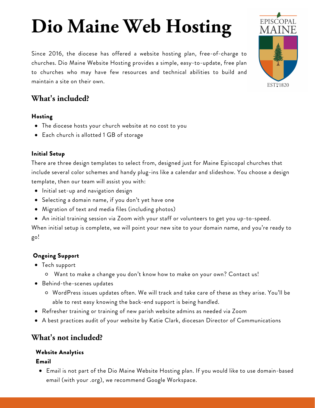# **Dio Maine Web Hosting**

Since 2016, the diocese has offered a website hosting plan, free-of-charge to churches. Dio Maine [Website](http://www.diomainehosting.org/) Hosting provides a simple, easy-to-update, free plan to churches who may have few resources and technical abilities to build and maintain a site on their own.



### Hosting

- The diocese hosts your church website at no cost to you
- Each church is allotted 1 GB of storage

## Initial Setup

There are three design templates to select from, designed just for Maine Episcopal churches that include several color schemes and handy plug-ins like a calendar and slideshow. You choose a design template, then our team will assist you with:

- **•** Initial set-up and navigation design
- Selecting a domain name, if you don't yet have one
- Migration of text and media files (including photos)
- An initial training session via Zoom with your staff or volunteers to get you up-to-speed.

When initial setup is complete, we will point your new site to your domain name, and you're ready to go!

# Ongoing Support

- Tech support
	- Want to make a change you don't know how to make on your own? Contact us!
- Behind-the-scenes updates
	- WordPress issues updates often. We will track and take care of these as they arise. You'll be able to rest easy knowing the back-end support is being handled.
- Refresher training or training of new parish website admins as needed via Zoom
- A best practices audit of your website by Katie Clark, diocesan Director of Communications

# **What's not included?**

## Website Analytics

#### Email

Email is not part of the Dio Maine Website Hosting plan. If you would like to use domain-based email (with your .org), we recommend Google Workspace.